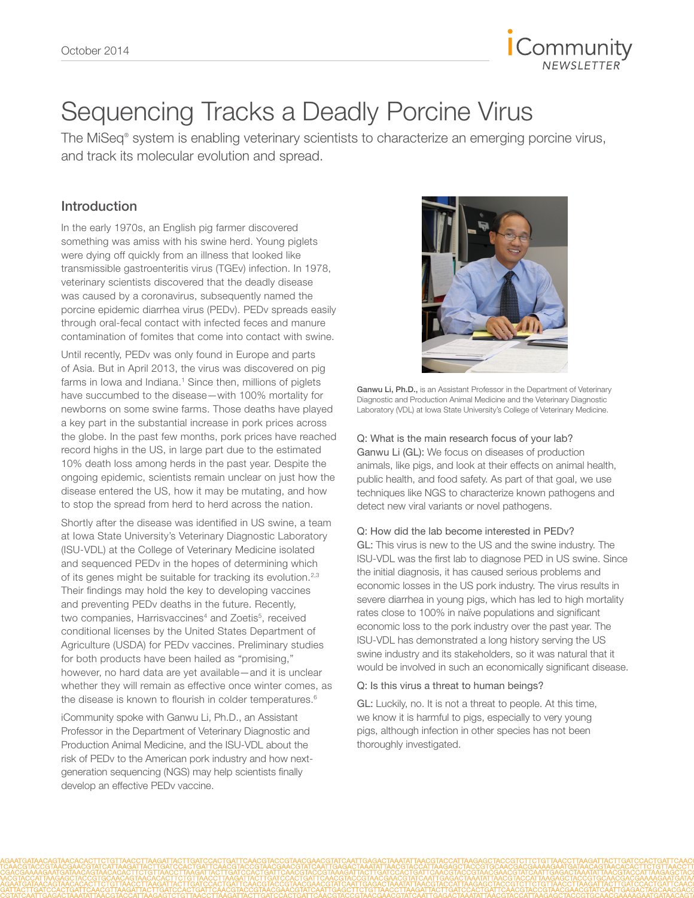

# Sequencing Tracks a Deadly Porcine Virus

The MiSeq® system is enabling veterinary scientists to characterize an emerging porcine virus, and track its molecular evolution and spread.

### Introduction

In the early 1970s, an English pig farmer discovered something was amiss with his swine herd. Young piglets were dying off quickly from an illness that looked like transmissible gastroenteritis virus (TGEv) infection. In 1978, veterinary scientists discovered that the deadly disease was caused by a coronavirus, subsequently named the porcine epidemic diarrhea virus (PEDv). PEDv spreads easily through oral-fecal contact with infected feces and manure contamination of fomites that come into contact with swine.

Until recently, PEDv was only found in Europe and parts of Asia. But in April 2013, the virus was discovered on pig farms in Iowa and Indiana.<sup>1</sup> Since then, millions of piglets have succumbed to the disease—with 100% mortality for newborns on some swine farms. Those deaths have played a key part in the substantial increase in pork prices across the globe. In the past few months, pork prices have reached record highs in the US, in large part due to the estimated 10% death loss among herds in the past year. Despite the ongoing epidemic, scientists remain unclear on just how the disease entered the US, how it may be mutating, and how to stop the spread from herd to herd across the nation.

Shortly after the disease was identified in US swine, a team at Iowa State University's Veterinary Diagnostic Laboratory (ISU-VDL) at the College of Veterinary Medicine isolated and sequenced PEDv in the hopes of determining which of its genes might be suitable for tracking its evolution.<sup>2,3</sup> Their findings may hold the key to developing vaccines and preventing PEDv deaths in the future. Recently, two companies, Harrisvaccines<sup>4</sup> and Zoetis<sup>5</sup>, received conditional licenses by the United States Department of Agriculture (USDA) for PEDv vaccines. Preliminary studies for both products have been hailed as "promising," however, no hard data are yet available—and it is unclear whether they will remain as effective once winter comes, as the disease is known to flourish in colder temperatures.<sup>6</sup>

iCommunity spoke with Ganwu Li, Ph.D., an Assistant Professor in the Department of Veterinary Diagnostic and Production Animal Medicine, and the ISU-VDL about the risk of PEDv to the American pork industry and how nextgeneration sequencing (NGS) may help scientists finally develop an effective PEDv vaccine.



Ganwu Li, Ph.D., is an Assistant Professor in the Department of Veterinary Diagnostic and Production Animal Medicine and the Veterinary Diagnostic Laboratory (VDL) at Iowa State University's College of Veterinary Medicine.

Q: What is the main research focus of your lab? Ganwu Li (GL): We focus on diseases of production animals, like pigs, and look at their effects on animal health, public health, and food safety. As part of that goal, we use techniques like NGS to characterize known pathogens and detect new viral variants or novel pathogens.

#### Q: How did the lab become interested in PEDv?

GL: This virus is new to the US and the swine industry. The ISU-VDL was the first lab to diagnose PED in US swine. Since the initial diagnosis, it has caused serious problems and economic losses in the US pork industry. The virus results in severe diarrhea in young pigs, which has led to high mortality rates close to 100% in naïve populations and significant economic loss to the pork industry over the past year. The ISU-VDL has demonstrated a long history serving the US swine industry and its stakeholders, so it was natural that it would be involved in such an economically significant disease.

#### Q: Is this virus a threat to human beings?

GL: Luckily, no. It is not a threat to people. At this time, we know it is harmful to pigs, especially to very young pigs, although infection in other species has not been thoroughly investigated.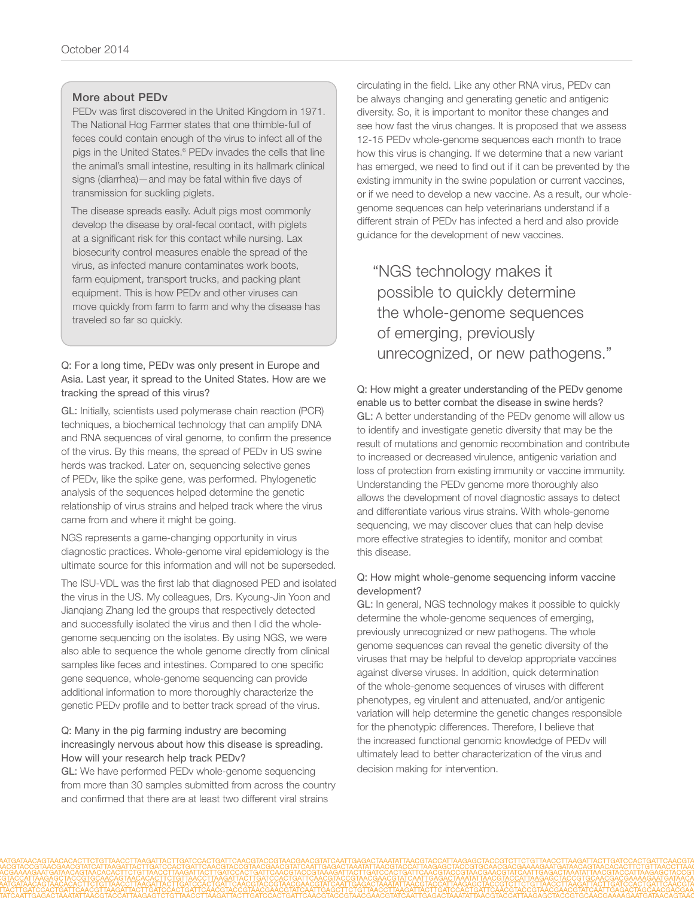#### More about PEDv

PEDv was first discovered in the United Kingdom in 1971. The National Hog Farmer states that one thimble-full of feces could contain enough of the virus to infect all of the pigs in the United States.<sup>6</sup> PEDv invades the cells that line the animal's small intestine, resulting in its hallmark clinical signs (diarrhea)—and may be fatal within five days of transmission for suckling piglets.

The disease spreads easily. Adult pigs most commonly develop the disease by oral-fecal contact, with piglets at a significant risk for this contact while nursing. Lax biosecurity control measures enable the spread of the virus, as infected manure contaminates work boots, farm equipment, transport trucks, and packing plant equipment. This is how PEDv and other viruses can move quickly from farm to farm and why the disease has traveled so far so quickly.

#### Q: For a long time, PEDv was only present in Europe and Asia. Last year, it spread to the United States. How are we tracking the spread of this virus?

GL: Initially, scientists used polymerase chain reaction (PCR) techniques, a biochemical technology that can amplify DNA and RNA sequences of viral genome, to confirm the presence of the virus. By this means, the spread of PEDv in US swine herds was tracked. Later on, sequencing selective genes of PEDv, like the spike gene, was performed. Phylogenetic analysis of the sequences helped determine the genetic relationship of virus strains and helped track where the virus came from and where it might be going.

NGS represents a game-changing opportunity in virus diagnostic practices. Whole-genome viral epidemiology is the ultimate source for this information and will not be superseded.

The ISU-VDL was the first lab that diagnosed PED and isolated the virus in the US. My colleagues, Drs. Kyoung-Jin Yoon and Jianqiang Zhang led the groups that respectively detected and successfully isolated the virus and then I did the wholegenome sequencing on the isolates. By using NGS, we were also able to sequence the whole genome directly from clinical samples like feces and intestines. Compared to one specific gene sequence, whole-genome sequencing can provide additional information to more thoroughly characterize the genetic PEDv profile and to better track spread of the virus.

#### Q: Many in the pig farming industry are becoming increasingly nervous about how this disease is spreading. How will your research help track PEDv?

GL: We have performed PEDv whole-genome sequencing from more than 30 samples submitted from across the country and confirmed that there are at least two different viral strains

circulating in the field. Like any other RNA virus, PEDv can be always changing and generating genetic and antigenic diversity. So, it is important to monitor these changes and see how fast the virus changes. It is proposed that we assess 12-15 PEDv whole-genome sequences each month to trace how this virus is changing. If we determine that a new variant has emerged, we need to find out if it can be prevented by the existing immunity in the swine population or current vaccines, or if we need to develop a new vaccine. As a result, our wholegenome sequences can help veterinarians understand if a different strain of PEDv has infected a herd and also provide guidance for the development of new vaccines.

"NGS technology makes it possible to quickly determine the whole-genome sequences of emerging, previously unrecognized, or new pathogens."

Q: How might a greater understanding of the PEDv genome enable us to better combat the disease in swine herds? GL: A better understanding of the PEDv genome will allow us to identify and investigate genetic diversity that may be the result of mutations and genomic recombination and contribute to increased or decreased virulence, antigenic variation and loss of protection from existing immunity or vaccine immunity. Understanding the PEDv genome more thoroughly also allows the development of novel diagnostic assays to detect and differentiate various virus strains. With whole-genome sequencing, we may discover clues that can help devise more effective strategies to identify, monitor and combat this disease.

#### Q: How might whole-genome sequencing inform vaccine development?

GL: In general, NGS technology makes it possible to quickly determine the whole-genome sequences of emerging, previously unrecognized or new pathogens. The whole genome sequences can reveal the genetic diversity of the viruses that may be helpful to develop appropriate vaccines against diverse viruses. In addition, quick determination of the whole-genome sequences of viruses with different phenotypes, eg virulent and attenuated, and/or antigenic variation will help determine the genetic changes responsible for the phenotypic differences. Therefore, I believe that the increased functional genomic knowledge of PEDv will ultimately lead to better characterization of the virus and decision making for intervention.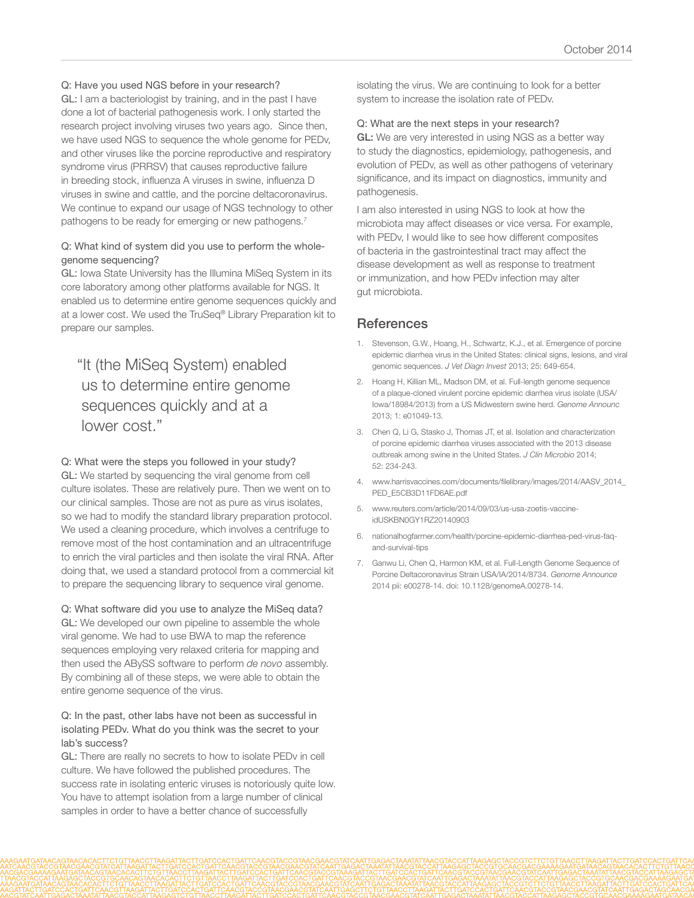#### Q: Have you used NGS before in your research?

GL: I am a bacteriologist by training, and in the past I have done a lot of bacterial pathogenesis work. I only started the research project involving viruses two years ago. Since then, we have used NGS to sequence the whole genome for PEDv, and other viruses like the porcine reproductive and respiratory syndrome virus (PRRSV) that causes reproductive failure in breeding stock, influenza A viruses in swine, influenza D viruses in swine and cattle, and the porcine deltacoronavirus. We continue to expand our usage of NGS technology to other pathogens to be ready for emerging or new pathogens.<sup>7</sup>

#### Q: What kind of system did you use to perform the wholegenome sequencing?

GL: Iowa State University has the Illumina MiSeq System in its core laboratory among other platforms available for NGS. It enabled us to determine entire genome sequences quickly and at a lower cost. We used the TruSeq® Library Preparation kit to prepare our samples.

## "It (the MiSeq System) enabled us to determine entire genome sequences quickly and at a lower cost."

#### Q: What were the steps you followed in your study?

GL: We started by sequencing the viral genome from cell culture isolates. These are relatively pure. Then we went on to our clinical samples. Those are not as pure as virus isolates, so we had to modify the standard library preparation protocol. We used a cleaning procedure, which involves a centrifuge to remove most of the host contamination and an ultracentrifuge to enrich the viral particles and then isolate the viral RNA. After doing that, we used a standard protocol from a commercial kit to prepare the sequencing library to sequence viral genome.

Q: What software did you use to analyze the MiSeq data? GL: We developed our own pipeline to assemble the whole viral genome. We had to use BWA to map the reference sequences employing very relaxed criteria for mapping and then used the ABySS software to perform *de novo* assembly. By combining all of these steps, we were able to obtain the entire genome sequence of the virus.

#### Q: In the past, other labs have not been as successful in isolating PEDv. What do you think was the secret to your lab's success?

GL: There are really no secrets to how to isolate PEDv in cell culture. We have followed the published procedures. The success rate in isolating enteric viruses is notoriously quite low. You have to attempt isolation from a large number of clinical samples in order to have a better chance of successfully

isolating the virus. We are continuing to look for a better system to increase the isolation rate of PEDv.

#### Q: What are the next steps in your research?

GL: We are very interested in using NGS as a better way to study the diagnostics, epidemiology, pathogenesis, and evolution of PEDv, as well as other pathogens of veterinary significance, and its impact on diagnostics, immunity and pathogenesis.

I am also interested in using NGS to look at how the microbiota may affect diseases or vice versa. For example, with PEDv, I would like to see how different composites of bacteria in the gastrointestinal tract may affect the disease development as well as response to treatment or immunization, and how PEDv infection may alter gut microbiota.

#### **References**

- 1. [Stevenson, G.W., Hoang, H., Schwartz, K.J., et al. Emergence of porcine](http://www.ncbi.nlm.nih.gov/pubmed/23963154)  [epidemic diarrhea virus in the United States: clinical signs, lesions, and viral](http://www.ncbi.nlm.nih.gov/pubmed/23963154)  [genomic sequences.](http://www.ncbi.nlm.nih.gov/pubmed/23963154) *J Vet Diagn Invest* 2013; 25: 649-654.
- 2. [Hoang H, Killian ML, Madson DM, et al. Full-length genome sequence](http://www.ncbi.nlm.nih.gov/pubmed/24356830)  [of a plaque-cloned virulent porcine epidemic diarrhea virus isolate \(USA/](http://www.ncbi.nlm.nih.gov/pubmed/24356830) [Iowa/18984/2013\) from a US Midwestern swine herd.](http://www.ncbi.nlm.nih.gov/pubmed/24356830) *Genome Announc* [2013; 1: e01049-13.](http://www.ncbi.nlm.nih.gov/pubmed/24356830)
- 3. [Chen Q, Li G, Stasko J, Thomas JT, et al. Isolation and characterization](http://www.ncbi.nlm.nih.gov/pubmed/24197882)  [of porcine epidemic diarrhea viruses associated with the 2013 disease](http://www.ncbi.nlm.nih.gov/pubmed/24197882)  [outbreak among swine in the United States.](http://www.ncbi.nlm.nih.gov/pubmed/24197882) *J Clin Microbio* 2014; [52: 234-243.](http://www.ncbi.nlm.nih.gov/pubmed/24197882)
- 4. [www.harrisvaccines.com/documents/filelibrary/images/2014/AASV\\_2014\\_](http://www.harrisvaccines.com/documents/filelibrary/images/2014/AASV_2014_PED_E5CB3D11FD6AE.pdf) [PED\\_E5CB3D11FD6AE.pdf](http://www.harrisvaccines.com/documents/filelibrary/images/2014/AASV_2014_PED_E5CB3D11FD6AE.pdf)
- 5. [www.reuters.com/article/2014/09/03/us-usa-zoetis-vaccine](http://www.reuters.com/article/2014/09/03/us-usa-zoetis-vaccine-idUSKBN0GY1RZ20140903)[idUSKBN0GY1RZ20140903](http://www.reuters.com/article/2014/09/03/us-usa-zoetis-vaccine-idUSKBN0GY1RZ20140903)
- 6. [nationalhogfarmer.com/health/porcine-epidemic-diarrhea-ped-virus-faq](http://nationalhogfarmer.com/health/porcine-epidemic-diarrhea-ped-virus-faq-and-survival-tips)[and-survival-tips](http://nationalhogfarmer.com/health/porcine-epidemic-diarrhea-ped-virus-faq-and-survival-tips)
- 7. [Ganwu Li, Chen Q, Harmon KM, et al. Full-Length Genome Sequence of](http://www.ncbi.nlm.nih.gov/pubmed/24723718)  [Porcine Deltacoronavirus Strain USA/IA/2014/8734.](http://www.ncbi.nlm.nih.gov/pubmed/24723718) *Genome Announce* [2014 pii: e00278-14. doi: 10.1128/genomeA.00278-14.](http://www.ncbi.nlm.nih.gov/pubmed/24723718)